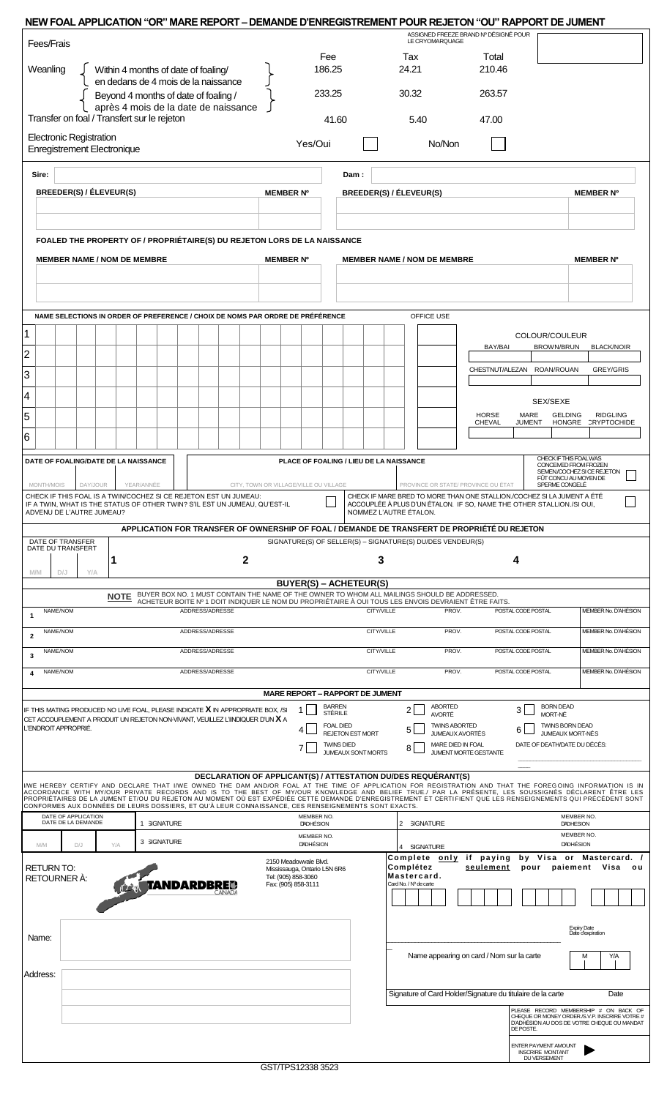| NEW FOAL APPLICATION "OR" MARE REPORT - DEMANDE D'ENREGISTREMENT POUR REJETON "OU" RAPPORT DE JUMENT                                                                                                                                                                                                         |                 |                                                                            |                                                          |                                                                                                               |                                                                                                                                                                    |                                         |  |
|--------------------------------------------------------------------------------------------------------------------------------------------------------------------------------------------------------------------------------------------------------------------------------------------------------------|-----------------|----------------------------------------------------------------------------|----------------------------------------------------------|---------------------------------------------------------------------------------------------------------------|--------------------------------------------------------------------------------------------------------------------------------------------------------------------|-----------------------------------------|--|
| Fees/Frais                                                                                                                                                                                                                                                                                                   |                 |                                                                            | ASSIGNED FREEZE BRAND Nº DÉSIGNÉ POUR<br>LE CRYOMARQUAGE |                                                                                                               |                                                                                                                                                                    |                                         |  |
| Weanling<br>Within 4 months of date of foaling/<br>en dedans de 4 mois de la naissance                                                                                                                                                                                                                       |                 | Fee<br>186.25                                                              |                                                          | Tax<br>24.21                                                                                                  | Total<br>210.46                                                                                                                                                    |                                         |  |
| Beyond 4 months of date of foaling /                                                                                                                                                                                                                                                                         |                 | 233.25                                                                     |                                                          | 30.32                                                                                                         | 263.57                                                                                                                                                             |                                         |  |
| après 4 mois de la date de naissance<br>Transfer on foal / Transfert sur le rejeton                                                                                                                                                                                                                          |                 |                                                                            | 41.60                                                    | 5.40                                                                                                          | 47.00                                                                                                                                                              |                                         |  |
| <b>Electronic Registration</b><br><b>Enregistrement Electronique</b>                                                                                                                                                                                                                                         |                 | Yes/Oui                                                                    |                                                          | No/Non                                                                                                        |                                                                                                                                                                    |                                         |  |
| Sire:                                                                                                                                                                                                                                                                                                        |                 |                                                                            | Dam:                                                     |                                                                                                               |                                                                                                                                                                    |                                         |  |
| BREEDER(S) / ÉLEVEUR(S)                                                                                                                                                                                                                                                                                      |                 | <b>MEMBER Nº</b>                                                           |                                                          | BREEDER(S) / ÉLEVEUR(S)                                                                                       |                                                                                                                                                                    | <b>MEMBER Nº</b>                        |  |
|                                                                                                                                                                                                                                                                                                              |                 |                                                                            |                                                          |                                                                                                               |                                                                                                                                                                    |                                         |  |
| FOALED THE PROPERTY OF / PROPRIÉTAIRE(S) DU REJETON LORS DE LA NAISSANCE                                                                                                                                                                                                                                     |                 |                                                                            |                                                          |                                                                                                               |                                                                                                                                                                    |                                         |  |
| <b>MEMBER NAME / NOM DE MEMBRE</b>                                                                                                                                                                                                                                                                           |                 | <b>MEMBER Nº</b><br><b>MEMBER NAME / NOM DE MEMBRE</b><br><b>MEMBER Nº</b> |                                                          |                                                                                                               |                                                                                                                                                                    |                                         |  |
|                                                                                                                                                                                                                                                                                                              |                 |                                                                            |                                                          |                                                                                                               |                                                                                                                                                                    |                                         |  |
|                                                                                                                                                                                                                                                                                                              |                 |                                                                            |                                                          |                                                                                                               |                                                                                                                                                                    |                                         |  |
| NAME SELECTIONS IN ORDER OF PREFERENCE / CHOIX DE NOMS PAR ORDRE DE PRÉFÉRENCE                                                                                                                                                                                                                               |                 |                                                                            |                                                          | OFFICE USE                                                                                                    |                                                                                                                                                                    |                                         |  |
| 1                                                                                                                                                                                                                                                                                                            |                 |                                                                            |                                                          |                                                                                                               | COLOUR/COULEUR<br>BAY/BAI<br>BROWN/BRUN                                                                                                                            | <b>BLACK/NOIR</b>                       |  |
| $\overline{2}$                                                                                                                                                                                                                                                                                               |                 |                                                                            |                                                          |                                                                                                               | CHESTNUT/ALEZAN<br>ROAN/ROUAN                                                                                                                                      | <b>GREY/GRIS</b>                        |  |
| 3                                                                                                                                                                                                                                                                                                            |                 |                                                                            |                                                          |                                                                                                               |                                                                                                                                                                    |                                         |  |
| 4<br>5                                                                                                                                                                                                                                                                                                       |                 |                                                                            |                                                          |                                                                                                               | SEX/SEXE<br><b>HORSE</b><br><b>GELDING</b><br>MARE                                                                                                                 | <b>RIDGLING</b>                         |  |
| 6                                                                                                                                                                                                                                                                                                            |                 |                                                                            |                                                          |                                                                                                               | CHEVAL<br><b>JUMENT</b><br>HONGRE                                                                                                                                  | CRYPTOCHIDE                             |  |
| DATE OF FOALING/DATE DE LA NAISSANCE                                                                                                                                                                                                                                                                         |                 |                                                                            | PLACE OF FOALING / LIEU DE LA NAISSANCE                  |                                                                                                               | CHECK IF THIS FOAL WAS                                                                                                                                             |                                         |  |
|                                                                                                                                                                                                                                                                                                              |                 |                                                                            |                                                          |                                                                                                               | CONCEIVED FROM FROZEN<br>FÛT CONCU AU MOYEN DE                                                                                                                     | SEMEN/COCHEZ SI CE REJETON              |  |
| MONTH/MOIS<br>DAY/JOUR<br>YEAR/ANNÉE<br>CHECK IF THIS FOAL IS A TWIN/COCHEZ SI CE REJETON EST UN JUMEAU:<br>IF A TWIN, WHAT IS THE STATUS OF OTHER TWIN? S'IL EST UN JUMEAU, QU'EST-IL<br>ADVENU DE L'AUTRE JUMEAU?                                                                                          |                 | CITY, TOWN OR VILLAGE/VILLE OU VILLAGE                                     |                                                          | PROVINCE OR STATE/ PROVINCE OU ÉTAT<br>NOMMEZ L'AUTRE ÉTALON.                                                 | SPERME CONGELÉ<br>CHECK IF MARE BRED TO MORE THAN ONE STALLION./COCHEZ SI LA JUMENT A ÉTÉ<br>ACCOUPLÉE À PLUS D'UN ÉTALON. IF SO, NAME THE OTHER STALLION./SI OUI, |                                         |  |
|                                                                                                                                                                                                                                                                                                              |                 |                                                                            |                                                          | APPLICATION FOR TRANSFER OF OWNERSHIP OF FOAL / DEMANDE DE TRANSFERT DE PROPRIÉTÉ DU REJETON                  |                                                                                                                                                                    |                                         |  |
| SIGNATURE(S) OF SELLER(S) - SIGNATURE(S) DU/DES VENDEUR(S)<br>DATE OF TRANSFER<br>DATE DU TRANSFERT                                                                                                                                                                                                          |                 |                                                                            |                                                          |                                                                                                               |                                                                                                                                                                    |                                         |  |
| 1<br><b>M/M</b><br>D/J<br>Y/A                                                                                                                                                                                                                                                                                | 2               |                                                                            | 3                                                        |                                                                                                               | 4                                                                                                                                                                  |                                         |  |
| <b>NOTE</b>                                                                                                                                                                                                                                                                                                  |                 | <b>BUYER(S) - ACHETEUR(S)</b>                                              |                                                          | BUYER BOX NO. 1 MUST CONTAIN THE NAME OF THE OWNER TO WHOM ALL MAILINGS SHOULD BE ADDRESSED.                  |                                                                                                                                                                    |                                         |  |
| NAME/NOM<br>1                                                                                                                                                                                                                                                                                                | ADDRESS/ADRESSE |                                                                            | <b>CITY/VILLE</b>                                        | ACHETEUR BOITE Nº 1 DOIT INDIQUER LE NOM DU PROPRIÉTAIRE À OUI TOUS LES ENVOIS DEVRAIENT ÊTRE FAITS.<br>PROV. | POSTAL CODE POSTAL                                                                                                                                                 | MEMBER No. D'AHÉSION                    |  |
| NAME/NOM<br>$\overline{2}$                                                                                                                                                                                                                                                                                   | ADDRESS/ADRESSE |                                                                            | CITY/VILLE                                               | PROV.                                                                                                         | POSTAL CODE POSTAL                                                                                                                                                 | MEMBER No. D'AHÉSION                    |  |
| ADDRESS/ADRESSE<br>NAME/NOM<br>3                                                                                                                                                                                                                                                                             |                 |                                                                            | CITY/VILLE                                               |                                                                                                               | POSTAL CODE POSTAL                                                                                                                                                 | MEMBER No. D'AHÉSION                    |  |
| ADDRESS/ADRESSE<br>CITY/VILLE<br>NAME/NOM<br>PROV.<br>POSTAL CODE POSTAL<br>4                                                                                                                                                                                                                                |                 |                                                                            |                                                          |                                                                                                               |                                                                                                                                                                    | MEMBER No. D'AHÉSION                    |  |
| <b>MARE REPORT - RAPPORT DE JUMENT</b><br><b>BARREN</b><br><b>ABORTED</b><br><b>BORN DEAD</b><br>IF THIS MATING PRODUCED NO LIVE FOAL, PLEASE INDICATE X IN APPROPRIATE BOX, /SI                                                                                                                             |                 |                                                                            |                                                          |                                                                                                               |                                                                                                                                                                    |                                         |  |
| CET ACCOUPLEMENT A PRODUIT UN REJETON NON-VIVANT, VEUILLEZ L'IINDIQUER D'UN $\bm{X}$ A<br>L'ENDROIT APPROPRIÉ.                                                                                                                                                                                               |                 | 1.                                                                         | STÉRILE<br><b>FOAL DIED</b>                              | 2 <br><b>AVORTÉ</b><br><b>TWINS ABORTED</b>                                                                   | 3<br>MORT-NÉ<br><b>TWINS BORN DEAD</b>                                                                                                                             |                                         |  |
| 5<br>4<br>6<br><b>REJETON EST MORT</b><br><b>JUMEAUX AVORTÉS</b><br>JUMEAUX MORT-NÉS<br>DATE OF DEATH/DATE DU DÉCÈS:<br>MARE DIED IN FOAL<br><b>TWINS DIED</b><br>8<br>7<br>JUMENT MORTE GESTANTE                                                                                                            |                 |                                                                            |                                                          |                                                                                                               |                                                                                                                                                                    |                                         |  |
|                                                                                                                                                                                                                                                                                                              |                 |                                                                            | <b>JUMEAUX SONT MORTS</b>                                |                                                                                                               |                                                                                                                                                                    |                                         |  |
| WE HEREBY CERTIFY AND DECLARE THAT I/WE OWNED THE DAM AND/OR FOAL AT THE TIME OF APPLICATION FOR REGISTRATION AND THAT THE FOREGOING INFORMATION IS IN<br>ACCORDANCE WITH MY/OUR PRIVATE RECORDS AND IS TO THE BEST OF MY/OUR KNOWLEDGE AND BELIEF TRUE./ PAR LA PRÉSENTE, LES SOUSSIGNÉS DÉCLARENT ÊTRE LES |                 |                                                                            |                                                          | DECLARATION OF APPLICANT(S) / ATTESTATION DU/DES REQUERANT(S)                                                 |                                                                                                                                                                    |                                         |  |
| PROPRIÉTAIRES DE LA JUMENT ET/OU DU REJETON AU MOMENT OÙ EST EXPÉDIÉE CETTE DEMANDE D'ENREGISTREMENT ET CERTIFIENT QUE LES RENSEIGNEMENTS QUI PRÉCÉDENT SONT<br>CONFORMES AUX DONNÉES DE LEURS DOSSIERS, ET QU'À LEUR CONNAISSANCE, CES RENSEIGNEMENTS SONT EXACTS.<br>DATE OF APPLICATION                   |                 | MEMBER NO.                                                                 |                                                          |                                                                                                               |                                                                                                                                                                    | MEMBER NO.                              |  |
| DATE DE LA DEMANDE<br>1 SIGNATURE                                                                                                                                                                                                                                                                            |                 | <b>DADHÉSION</b><br>MEMBER NO.                                             |                                                          | 2 SIGNATURE                                                                                                   | <b>DADHESION</b>                                                                                                                                                   | MEMBER NO.                              |  |
| 3 SIGNATURE<br>M/M<br>D/J<br>Y/A                                                                                                                                                                                                                                                                             |                 | <b>DADHÉSION</b>                                                           |                                                          | 4 SIGNATURE<br>Complete only if paying                                                                        | <b>DADHÉSION</b>                                                                                                                                                   | by Visa or Mastercard. /                |  |
| 2150 Meadowvale Blvd.<br>Complétez<br>seulement<br>paiement Visa<br>pour<br><b>RETURN TO:</b><br>Mississauga, Ontario L5N 6R6<br>Mastercard.<br>Tel: (905) 858-3060<br>RETOURNER A:<br><b>TANDARDBRE</b>                                                                                                     |                 |                                                                            |                                                          |                                                                                                               |                                                                                                                                                                    | o u                                     |  |
|                                                                                                                                                                                                                                                                                                              |                 | Fax: (905) 858-3111                                                        |                                                          | Card No. / Nº de carte                                                                                        |                                                                                                                                                                    |                                         |  |
|                                                                                                                                                                                                                                                                                                              |                 |                                                                            |                                                          |                                                                                                               |                                                                                                                                                                    |                                         |  |
| Name:                                                                                                                                                                                                                                                                                                        |                 |                                                                            |                                                          |                                                                                                               |                                                                                                                                                                    | <b>Expiry Date</b><br>Date d'expiration |  |
|                                                                                                                                                                                                                                                                                                              |                 |                                                                            | Name appearing on card / Nom sur la carte<br>Y/A<br>M    |                                                                                                               |                                                                                                                                                                    |                                         |  |
| Address:                                                                                                                                                                                                                                                                                                     |                 |                                                                            |                                                          |                                                                                                               |                                                                                                                                                                    |                                         |  |
| Signature of Card Holder/Signature du titulaire de la carte<br>Date<br>PLEASE RECORD MEMBERSHIP # ON BACK OF                                                                                                                                                                                                 |                 |                                                                            |                                                          |                                                                                                               |                                                                                                                                                                    |                                         |  |
| CHEQUE OR MONEY ORDER./S.V.P. INSCRIRE VOTRE #<br>D'ADHÉSION AU DOS DE VOTRE CHEQUE OU MANDAT<br>DE POSTE.                                                                                                                                                                                                   |                 |                                                                            |                                                          |                                                                                                               |                                                                                                                                                                    |                                         |  |
|                                                                                                                                                                                                                                                                                                              |                 |                                                                            |                                                          |                                                                                                               | ENTER PAYMENT AMOUNT<br><b>INSCRIRE MONTANT</b><br>DU VERSEMENT                                                                                                    |                                         |  |